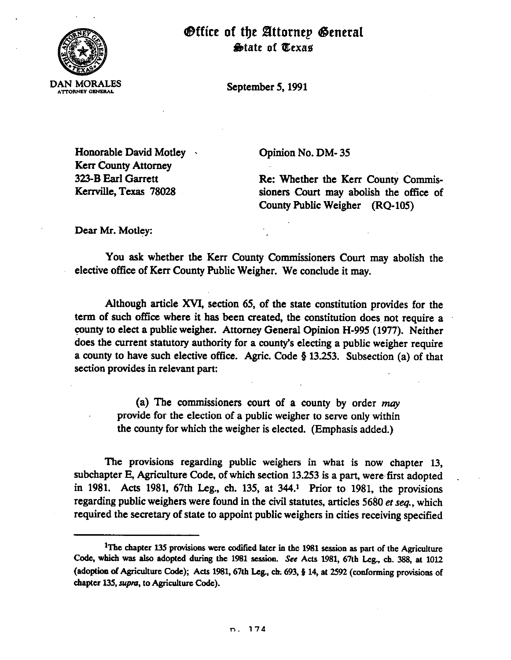

## Office of the Attornep General State of Texas

September 5, 1991

Honorable David *Motley* . Kerr Comty Attorney 323-B Bar1 Garrett Kerrville,Texas 78028

Opinion No. DM- 35

Re: Whether the **Kerr** County Commissioners Court may abolish the office of County Public Weigher (RQ-105)

Dear Mr. Motley:

You ask whether the Kerr County Commissioners Court may abolish the elective office of Kerr County Public Weigher. We conclude it may.

Although article KVI, section 65, of the state constitution provides for the term of such office where it has been created, the constitution does not require a county to elect a public weigher. Attorney General Opinion H-995 (1977). Neither does the current statutory authority for a county's electing a public weigher require a county to have such elective office. Agric. Code  $\S$  13.253. Subsection (a) of that section provides in relevant part:

> (a) The commissioners court of a county by order may provide for the election of a public weigher to serve only within the county for which the weigher is elected. (Emphasis added.)

The provisions regarding public weighers in what is now chapter 13, subchapter E, Agriculture Code, of which section 13.253 is a part, were first adopted in 1981. Acts 1981, 67th Leg., ch. 135, at 344.' Prior to 1981, the provisions regarding public weighers were found in the civil statutes, articles 5680 *et seq.,* which required the secretary of state to appoint public weighers in cities receiving specified

<sup>&</sup>lt;sup>1</sup>The chapter 135 provisions were codified later in the 1981 session as part of the Agriculture Code, which was also adopted during the 1981 session. See Acts 1981, 67th Leg., ch. 388, at 1012 (adoption of Agriculture Code); Acts 1981, 67th Leg., ch. 693, § 14, at 2592 (conforming provisions of chapter 135, supra, to Agriculture Code).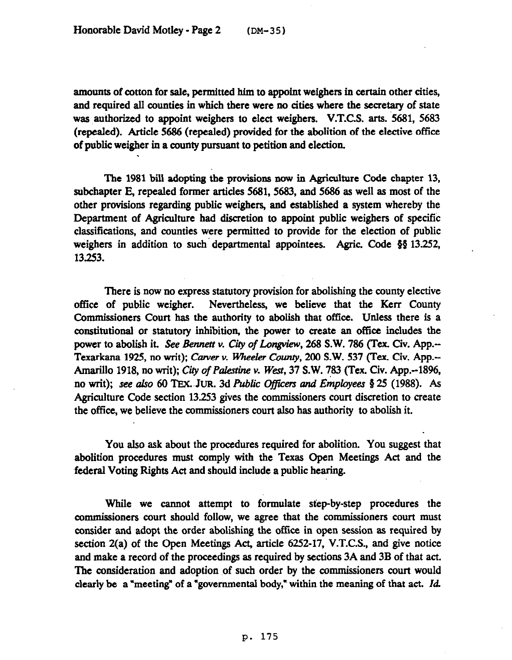amounts of cotton for sale, permitted him to appoint weighers in certain other cities, and required all counties in which there were no cities where the secretary of state was authorized to appoint weighers to elect weighers. V.T.C.S. arts. 5681, 5683 (repealed). Article 5686 (repealed) provided for the abolition of the elective office of public weigher in a county pursuant to petition and election.

The 1981 bill adopting the provisions now in Agriculture Code chapter 13, subchapter E, repealed former articles 5681, 5683, and 5686 as well as most of the other provisions regarding public weighers, and established a system whereby the Department of Agriculture had discretion to appoint public weighers of specific classifications, and counties were permitted to provide for the election of public weighers in addition to such departmental appointees. Agric. Code §§ 13.252, 13.253.

There is now no express statutory provision for abolishing the county elective office of public weigher. Nevertheless, we believe that the **Kerr** County Commissioners Court has the authority to abolish that office, Unless there is a constitutional or statutory inhibition, the power to create an office includes the power to abolish it. See Bennett v. City of Longview, 268 S.W. 786 (Tex. Civ. App.--Texarkana 1925, no writ); Carver v. Wheeler County, 200 S.W. 537 (Tex. Civ. App.--Amarillo 1918, no writ); City of Palestine v. West, 37 S.W. 783 (Tex. Civ. App.--1896, no writ); *see also* 60 TEX. JUR. 3d *Public Officers and Employees* § 25 (1988). As Agriculture Code section 13.253 gives the commissioners court discretion to create the office, we believe the commissioners court also has authority to abolish it.

You also ask about the procedures required for abolition. You suggest that abolition procedures must comply with the Texas Open Meetings Act and the federal Voting Rights Act and should include a public hearing.

While we camrot attempt to formulate step-by-step procedures the commissioners court should follow, we agree that the commissioners court must consider and adopt the order abolishing the offtce in open session as required by section 2(a) of the Open Meetings Act, article 6252-17, V.T.C.S., and give notice and make a record of the proceedings as required by sections 3A and 3B of that act. The consideration and adoption of such order by the commissioners court would clearly be a "meeting" of a "governmental body," within the meaning of that act. Id.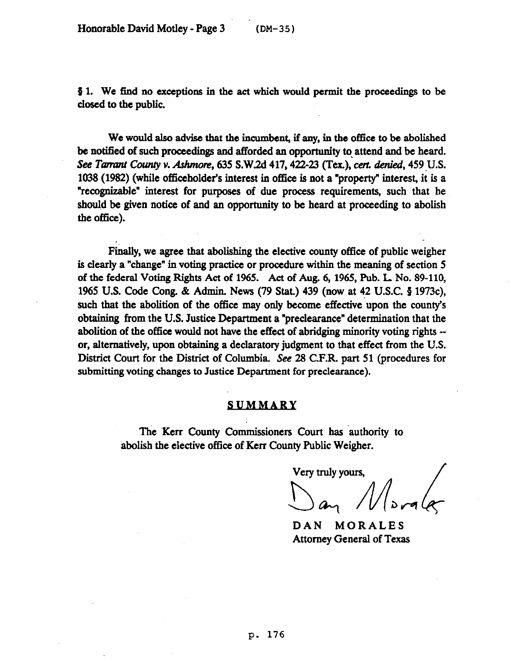$§$  1. We find no exceptions in the act which would permit the proceedings to be closed to tbe public.

We would also advise that the incumbent, if any, in the office to be abolished be notified of such proceedings and afforded an opportunity to. attend and be heard. See *Tarrant County v. Ashmore*, 635 S.W.2d 417, 422-23 (Tex.), cert. denied, 459 U.S. 1038 (1982) (while officeholder's interest in office is not a "property" interest, it is a "recognizable" interest for purposes of due process requirements, such that he should be given notice of and an opportunity to be heard at proceeding to abolish the office).

Fmally, we agree that abolishing the elective county office of public weigher is clearly a "change" in voting practice or procedure within the meaning of section 5 of the federal Voting Rights Act of 1965. Act of Aug. 6, 1965, Pub. L No. 89-110, 1965 U.S. Code Cong. & Admin. News (79 Stat.) 439 (now at 42 U.S.C. § 1973c), such that the abolition of the office may only become effective upon the county's obtaining from the U.S. Justice Department a "preclearance" determination that the abolition of the office would not have the effect of abridging minority voting rights -or, alternatively, upon obtaining a declaratory judgment to that effect from the U.S. District Court for the District of Columbia. See 28 C.F.R. part 51 (procedures for submitting voting changes to Justice Department for preclearance).

## *SUMMARY*

The Kerr County Commissioners Court has authority to abolish the elective office of Kerr County Public Weigher.

Very truly yours,

 $M_{\textrm{long}}/$ 

DAN MORALES Attorney General of Texas